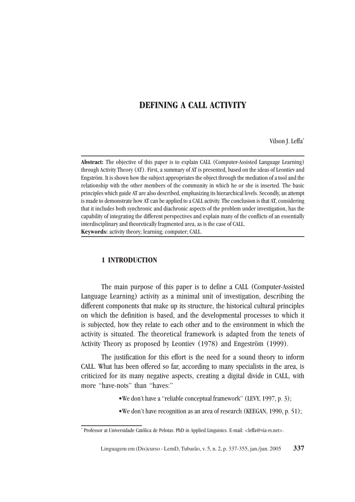## **DEFINING A CALL ACTIVITY**

Vilson J. Leffa\*

**Abstract:** The objective of this paper is to explain CALL (Computer-Assisted Language Learning) through Activity Theory (AT). First, a summary of AT is presented, based on the ideas of Leontiev and Engström. It is shown how the subject appropriates the object through the mediation of a tool and the relationship with the other members of the community in which he or she is inserted. The basic principles which guide AT are also described, emphasizing its hierarchical levels. Secondly, an attempt is made to demonstrate how AT can be applied to a CALL activity. The conclusion is that AT, considering that it includes both synchronic and diachronic aspects of the problem under investigation, has the capability of integrating the different perspectives and explain many of the conflicts of an essentially interdisciplinary and theoretically fragmented area, as is the case of CALL. **Keywords:** activity theory; learning; computer; CALL.

#### **1 INTRODUCTION**

The main purpose of this paper is to define a CALL (Computer-Assisted Language Learning) activity as a minimal unit of investigation, describing the different components that make up its structure, the historical cultural principles on which the definition is based, and the developmental processes to which it is subjected, how they relate to each other and to the environment in which the activity is situated. The theoretical framework is adapted from the tenets of Activity Theory as proposed by Leontiev (1978) and Engeström (1999).

The justification for this effort is the need for a sound theory to inform CALL. What has been offered so far, according to many specialists in the area, is criticized for its many negative aspects, creating a digital divide in CALL, with more "have-nots" than "haves:"

- •We don't have a "reliable conceptual framework" (LEVY, 1997, p. 3);
- •We don't have recognition as an area of research (KEEGAN, 1990, p. 51);

<sup>\*</sup> Professor at Universidade Católica de Pelotas. PhD in Applied Linguistcs. E-mail: <leffa@via-rs.net>.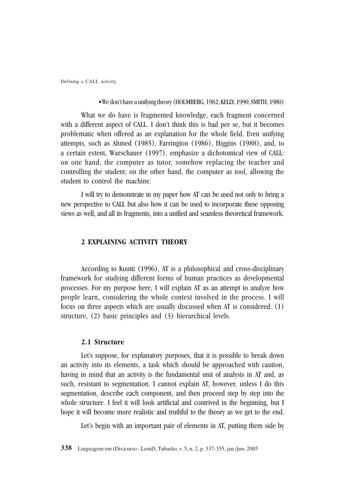#### •We don't have a unifying theory (HOLMBERG, 1982; KELLY, 1990; SMITH, 1980)

What we do have is fragmented knowledge, each fragment concerned with a different aspect of CALL. I don't think this is bad per se, but it becomes problematic when offered as an explanation for the whole field. Even unifying attempts, such as Ahmed (1985), Farrington (1986), Higgins (1988), and, to a certain extent, Warschauer (1997), emphasize a dichotomical view of CALL: on one hand, the computer as tutor, somehow replacing the teacher and controlling the student; on the other hand, the computer as tool, allowing the student to control the machine.

I will try to demonstrate in my paper how AT can be used not only to bring a new perspective to CALL but also how it can be used to incorporate these opposing views as well, and all its fragments, into a unified and seamless theoretical framework.

#### **2 EXPLAINING ACTIVITY THEORY**

According to Kuutti (1996), AT is a philosophical and cross-disciplinary framework for studying different forms of human practices as developmental processes. For my purpose here, I will explain AT as an attempt to analyze how people learn, considering the whole context involved in the process. I will focus on three aspects which are usually discussed when AT is considered: (1) structure, (2) basic principles and (3) hierarchical levels.

#### **2.1 Structure**

Let's suppose, for explanatory purposes, that it is possible to break down an activity into its elements, a task which should be approached with caution, having in mind that an activity is the fundamental unit of analysis in AT and, as such, resistant to segmentation. I cannot explain AT, however, unless I do this segmentation, describe each component, and then proceed step by step into the whole structure. I feel it will look artificial and contrived in the beginning, but I hope it will become more realistic and truthful to the theory as we get to the end.

Let's begin with an important pair of elements in AT, putting them side by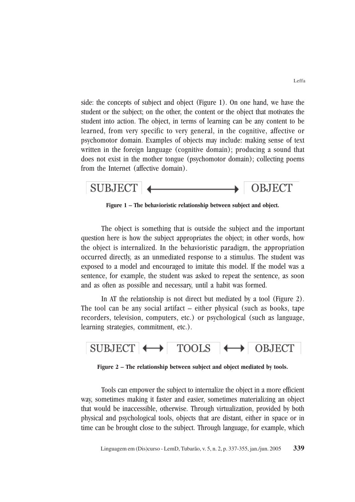side: the concepts of subject and object (Figure 1). On one hand, we have the student or the subject; on the other, the content or the object that motivates the student into action. The object, in terms of learning can be any content to be learned, from very specific to very general, in the cognitive, affective or psychomotor domain. Examples of objects may include: making sense of text written in the foreign language (cognitive domain); producing a sound that does not exist in the mother tongue (psychomotor domain); collecting poems from the Internet (affective domain).



**Figure 1 – The behavioristic relationship between subject and object.**

The object is something that is outside the subject and the important question here is how the subject appropriates the object; in other words, how the object is internalized. In the behavioristic paradigm, the appropriation occurred directly, as an unmediated response to a stimulus. The student was exposed to a model and encouraged to imitate this model. If the model was a sentence, for example, the student was asked to repeat the sentence, as soon and as often as possible and necessary, until a habit was formed.

In AT the relationship is not direct but mediated by a tool (Figure 2). The tool can be any social artifact – either physical (such as books, tape recorders, television, computers, etc.) or psychological (such as language, learning strategies, commitment, etc.).



**Figure 2 – The relationship between subject and object mediated by tools.**

Tools can empower the subject to internalize the object in a more efficient way, sometimes making it faster and easier, sometimes materializing an object that would be inaccessible, otherwise. Through virtualization, provided by both physical and psychological tools, objects that are distant, either in space or in time can be brought close to the subject. Through language, for example, which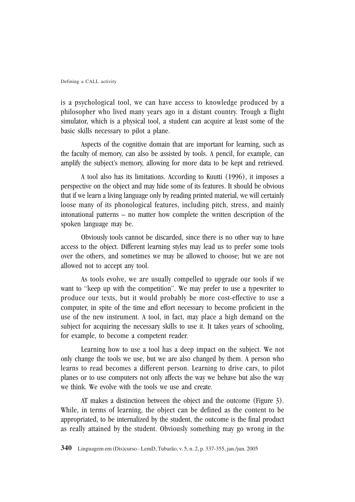is a psychological tool, we can have access to knowledge produced by a philosopher who lived many years ago in a distant country. Trough a flight simulator, which is a physical tool, a student can acquire at least some of the basic skills necessary to pilot a plane.

Aspects of the cognitive domain that are important for learning, such as the faculty of memory, can also be assisted by tools. A pencil, for example, can amplify the subject's memory, allowing for more data to be kept and retrieved.

A tool also has its limitations. According to Kuutti (1996), it imposes a perspective on the object and may hide some of its features. It should be obvious that if we learn a living language only by reading printed material, we will certainly loose many of its phonological features, including pitch, stress, and mainly intonational patterns – no matter how complete the written description of the spoken language may be.

Obviously tools cannot be discarded, since there is no other way to have access to the object. Different learning styles may lead us to prefer some tools over the others, and sometimes we may be allowed to choose; but we are not allowed not to accept any tool.

As tools evolve, we are usually compelled to upgrade our tools if we want to "keep up with the competition". We may prefer to use a typewriter to produce our texts, but it would probably be more cost-effective to use a computer, in spite of the time and effort necessary to become proficient in the use of the new instrument. A tool, in fact, may place a high demand on the subject for acquiring the necessary skills to use it. It takes years of schooling, for example, to become a competent reader.

Learning how to use a tool has a deep impact on the subject. We not only change the tools we use, but we are also changed by them. A person who learns to read becomes a different person. Learning to drive cars, to pilot planes or to use computers not only affects the way we behave but also the way we think. We evolve with the tools we use and create.

AT makes a distinction between the object and the outcome (Figure 3). While, in terms of learning, the object can be defined as the content to be appropriated, to be internalized by the student, the outcome is the final product as really attained by the student. Obviously something may go wrong in the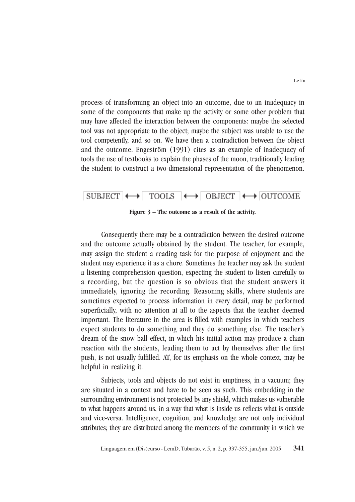process of transforming an object into an outcome, due to an inadequacy in some of the components that make up the activity or some other problem that may have affected the interaction between the components: maybe the selected tool was not appropriate to the object; maybe the subject was unable to use the tool competently, and so on. We have then a contradiction between the object and the outcome. Engeström (1991) cites as an example of inadequacy of tools the use of textbooks to explain the phases of the moon, traditionally leading the student to construct a two-dimensional representation of the phenomenon.

# SUBJECT  $\longleftrightarrow$  TOOLS  $\longleftrightarrow$  OBJECT  $\longleftrightarrow$  OUTCOME

#### **Figure 3 – The outcome as a result of the activity.**

Consequently there may be a contradiction between the desired outcome and the outcome actually obtained by the student. The teacher, for example, may assign the student a reading task for the purpose of enjoyment and the student may experience it as a chore. Sometimes the teacher may ask the student a listening comprehension question, expecting the student to listen carefully to a recording, but the question is so obvious that the student answers it immediately, ignoring the recording. Reasoning skills, where students are sometimes expected to process information in every detail, may be performed superficially, with no attention at all to the aspects that the teacher deemed important. The literature in the area is filled with examples in which teachers expect students to do something and they do something else. The teacher's dream of the snow ball effect, in which his initial action may produce a chain reaction with the students, leading them to act by themselves after the first push, is not usually fulfilled. AT, for its emphasis on the whole context, may be helpful in realizing it.

Subjects, tools and objects do not exist in emptiness, in a vacuum; they are situated in a context and have to be seen as such. This embedding in the surrounding environment is not protected by any shield, which makes us vulnerable to what happens around us, in a way that what is inside us reflects what is outside and vice-versa. Intelligence, cognition, and knowledge are not only individual attributes; they are distributed among the members of the community in which we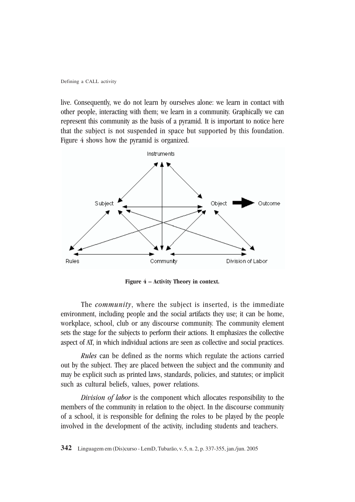live. Consequently, we do not learn by ourselves alone: we learn in contact with other people, interacting with them; we learn in a community. Graphically we can represent this community as the basis of a pyramid. It is important to notice here that the subject is not suspended in space but supported by this foundation. Figure 4 shows how the pyramid is organized.



**Figure 4 – Activity Theory in context.**

The *community*, where the subject is inserted, is the immediate environment, including people and the social artifacts they use; it can be home, workplace, school, club or any discourse community. The community element sets the stage for the subjects to perform their actions. It emphasizes the collective aspect of AT, in which individual actions are seen as collective and social practices.

*Rules* can be defined as the norms which regulate the actions carried out by the subject. They are placed between the subject and the community and may be explicit such as printed laws, standards, policies, and statutes; or implicit such as cultural beliefs, values, power relations.

*Division of labor* is the component which allocates responsibility to the members of the community in relation to the object. In the discourse community of a school, it is responsible for defining the roles to be played by the people involved in the development of the activity, including students and teachers.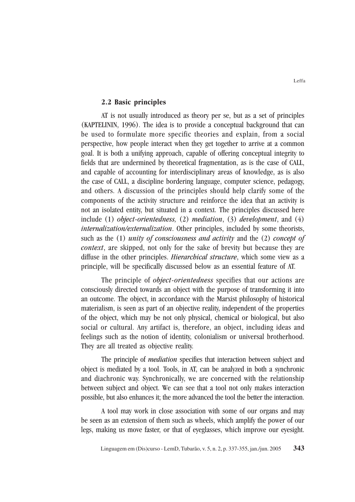#### **2.2 Basic principles**

AT is not usually introduced as theory per se, but as a set of principles (KAPTELININ, 1996). The idea is to provide a conceptual background that can be used to formulate more specific theories and explain, from a social perspective, how people interact when they get together to arrive at a common goal. It is both a unifying approach, capable of offering conceptual integrity to fields that are undermined by theoretical fragmentation, as is the case of CALL, and capable of accounting for interdisciplinary areas of knowledge, as is also the case of CALL, a discipline bordering language, computer science, pedagogy, and others. A discussion of the principles should help clarify some of the components of the activity structure and reinforce the idea that an activity is not an isolated entity, but situated in a context. The principles discussed here include (1) *object-orientedness,* (2) *mediation*, (3) *development*, and (4) *internalization/externalization*. Other principles, included by some theorists, such as the (1) *unity of consciousness and activity* and the (2) *concept of context*, are skipped, not only for the sake of brevity but because they are diffuse in the other principles. *Hierarchical structure*, which some view as a principle, will be specifically discussed below as an essential feature of AT.

The principle of *object-orientedness* specifies that our actions are consciously directed towards an object with the purpose of transforming it into an outcome. The object, in accordance with the Marxist philosophy of historical materialism, is seen as part of an objective reality, independent of the properties of the object, which may be not only physical, chemical or biological, but also social or cultural. Any artifact is, therefore, an object, including ideas and feelings such as the notion of identity, colonialism or universal brotherhood. They are all treated as objective reality.

The principle of *mediation* specifies that interaction between subject and object is mediated by a tool. Tools, in AT, can be analyzed in both a synchronic and diachronic way. Synchronically, we are concerned with the relationship between subject and object. We can see that a tool not only makes interaction possible, but also enhances it; the more advanced the tool the better the interaction.

A tool may work in close association with some of our organs and may be seen as an extension of them such as wheels, which amplify the power of our legs, making us move faster, or that of eyeglasses, which improve our eyesight.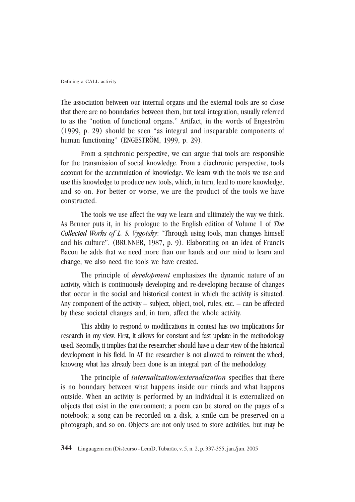The association between our internal organs and the external tools are so close that there are no boundaries between them, but total integration, usually referred to as the "notion of functional organs." Artifact, in the words of Engeström (1999, p. 29) should be seen "as integral and inseparable components of human functioning" (ENGESTRÖM, 1999, p. 29).

From a synchronic perspective, we can argue that tools are responsible for the transmission of social knowledge. From a diachronic perspective, tools account for the accumulation of knowledge. We learn with the tools we use and use this knowledge to produce new tools, which, in turn, lead to more knowledge, and so on. For better or worse, we are the product of the tools we have constructed.

The tools we use affect the way we learn and ultimately the way we think. As Bruner puts it, in his prologue to the English edition of Volume 1 of *The Collected Works of L. S. Vygotsky*: "Through using tools, man changes himself and his culture". (BRUNNER, 1987, p. 9). Elaborating on an idea of Francis Bacon he adds that we need more than our hands and our mind to learn and change; we also need the tools we have created.

The principle of *development* emphasizes the dynamic nature of an activity, which is continuously developing and re-developing because of changes that occur in the social and historical context in which the activity is situated. Any component of the activity – subject, object, tool, rules, etc. – can be affected by these societal changes and, in turn, affect the whole activity.

This ability to respond to modifications in context has two implications for research in my view. First, it allows for constant and fast update in the methodology used. Secondly, it implies that the researcher should have a clear view of the historical development in his field. In AT the researcher is not allowed to reinvent the wheel; knowing what has already been done is an integral part of the methodology.

The principle of *internalization/externalization* specifies that there is no boundary between what happens inside our minds and what happens outside. When an activity is performed by an individual it is externalized on objects that exist in the environment; a poem can be stored on the pages of a notebook; a song can be recorded on a disk, a smile can be preserved on a photograph, and so on. Objects are not only used to store activities, but may be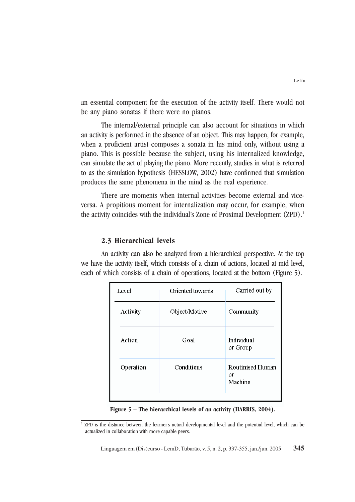an essential component for the execution of the activity itself. There would not be any piano sonatas if there were no pianos.

The internal/external principle can also account for situations in which an activity is performed in the absence of an object. This may happen, for example, when a proficient artist composes a sonata in his mind only, without using a piano. This is possible because the subject, using his internalized knowledge, can simulate the act of playing the piano. More recently, studies in what is referred to as the simulation hypothesis (HESSLOW, 2002) have confirmed that simulation produces the same phenomena in the mind as the real experience.

There are moments when internal activities become external and viceversa. A propitious moment for internalization may occur, for example, when the activity coincides with the individual's Zone of Proximal Development (ZPD).<sup>1</sup>

### **2.3 Hierarchical levels**

An activity can also be analyzed from a hierarchical perspective. At the top we have the activity itself, which consists of a chain of actions, located at mid level, each of which consists of a chain of operations, located at the bottom (Figure 5).

| Level     | Oriented towards | Carried out by                           |
|-----------|------------------|------------------------------------------|
| Activity  | Object/Motive    | Community                                |
| Action    | Goal             | Individual<br>or Group                   |
| Operation | Conditions       | <b>Routinised Human</b><br>or<br>Machine |

**Figure 5 – The hierarchical levels of an activity (HARRIS, 2004).**

<sup>&</sup>lt;sup>1</sup> ZPD is the distance between the learner's actual developmental level and the potential level, which can be actualized in collaboration with more capable peers.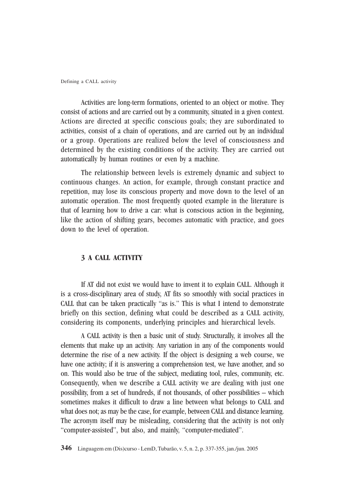Activities are long-term formations, oriented to an object or motive. They consist of actions and are carried out by a community, situated in a given context. Actions are directed at specific conscious goals; they are subordinated to activities, consist of a chain of operations, and are carried out by an individual or a group. Operations are realized below the level of consciousness and determined by the existing conditions of the activity. They are carried out automatically by human routines or even by a machine.

The relationship between levels is extremely dynamic and subject to continuous changes. An action, for example, through constant practice and repetition, may lose its conscious property and move down to the level of an automatic operation. The most frequently quoted example in the literature is that of learning how to drive a car: what is conscious action in the beginning, like the action of shifting gears, becomes automatic with practice, and goes down to the level of operation.

#### **3 A CALL ACTIVITY**

If AT did not exist we would have to invent it to explain CALL. Although it is a cross-disciplinary area of study, AT fits so smoothly with social practices in CALL that can be taken practically "as is." This is what I intend to demonstrate briefly on this section, defining what could be described as a CALL activity, considering its components, underlying principles and hierarchical levels.

A CALL activity is then a basic unit of study. Structurally, it involves all the elements that make up an activity. Any variation in any of the components would determine the rise of a new activity. If the object is designing a web course, we have one activity; if it is answering a comprehension test, we have another, and so on. This would also be true of the subject, mediating tool, rules, community, etc. Consequently, when we describe a CALL activity we are dealing with just one possibility, from a set of hundreds, if not thousands, of other possibilities – which sometimes makes it difficult to draw a line between what belongs to CALL and what does not; as may be the case, for example, between CALL and distance learning. The acronym itself may be misleading, considering that the activity is not only "computer-assisted", but also, and mainly, "computer-mediated".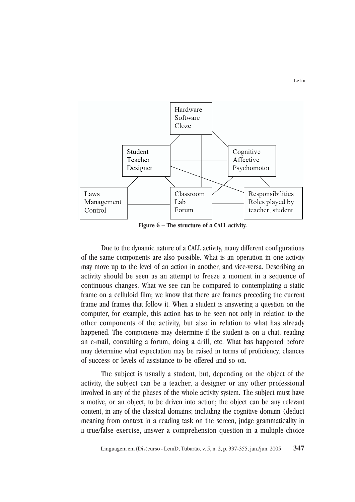

**Figure 6 – The structure of a CALL activity.**

Due to the dynamic nature of a CALL activity, many different configurations of the same components are also possible. What is an operation in one activity may move up to the level of an action in another, and vice-versa. Describing an activity should be seen as an attempt to freeze a moment in a sequence of continuous changes. What we see can be compared to contemplating a static frame on a celluloid film; we know that there are frames preceding the current frame and frames that follow it. When a student is answering a question on the computer, for example, this action has to be seen not only in relation to the other components of the activity, but also in relation to what has already happened. The components may determine if the student is on a chat, reading an e-mail, consulting a forum, doing a drill, etc. What has happened before may determine what expectation may be raised in terms of proficiency, chances of success or levels of assistance to be offered and so on.

The subject is usually a student, but, depending on the object of the activity, the subject can be a teacher, a designer or any other professional involved in any of the phases of the whole activity system. The subject must have a motive, or an object, to be driven into action; the object can be any relevant content, in any of the classical domains; including the cognitive domain (deduct meaning from context in a reading task on the screen, judge grammaticality in a true/false exercise, answer a comprehension question in a multiple-choice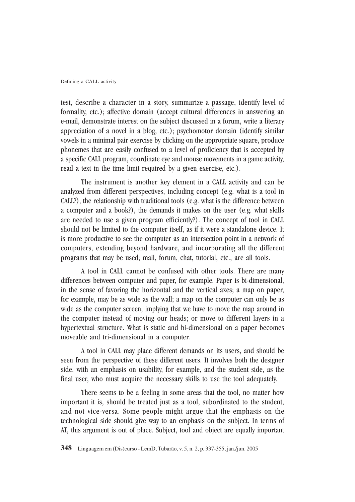test, describe a character in a story, summarize a passage, identify level of formality, etc.); affective domain (accept cultural differences in answering an e-mail, demonstrate interest on the subject discussed in a forum, write a literary appreciation of a novel in a blog, etc.); psychomotor domain (identify similar vowels in a minimal pair exercise by clicking on the appropriate square, produce phonemes that are easily confused to a level of proficiency that is accepted by a specific CALL program, coordinate eye and mouse movements in a game activity, read a text in the time limit required by a given exercise, etc.).

The instrument is another key element in a CALL activity and can be analyzed from different perspectives, including concept (e.g. what is a tool in CALL?), the relationship with traditional tools (e.g. what is the difference between a computer and a book?), the demands it makes on the user (e.g. what skills are needed to use a given program efficiently?). The concept of tool in CALL should not be limited to the computer itself, as if it were a standalone device. It is more productive to see the computer as an intersection point in a network of computers, extending beyond hardware, and incorporating all the different programs that may be used; mail, forum, chat, tutorial, etc., are all tools.

A tool in CALL cannot be confused with other tools. There are many differences between computer and paper, for example. Paper is bi-dimensional, in the sense of favoring the horizontal and the vertical axes; a map on paper, for example, may be as wide as the wall; a map on the computer can only be as wide as the computer screen, implying that we have to move the map around in the computer instead of moving our heads; or move to different layers in a hypertextual structure. What is static and bi-dimensional on a paper becomes moveable and tri-dimensional in a computer.

A tool in CALL may place different demands on its users, and should be seen from the perspective of these different users. It involves both the designer side, with an emphasis on usability, for example, and the student side, as the final user, who must acquire the necessary skills to use the tool adequately.

There seems to be a feeling in some areas that the tool, no matter how important it is, should be treated just as a tool, subordinated to the student, and not vice-versa. Some people might argue that the emphasis on the technological side should give way to an emphasis on the subject. In terms of AT, this argument is out of place. Subject, tool and object are equally important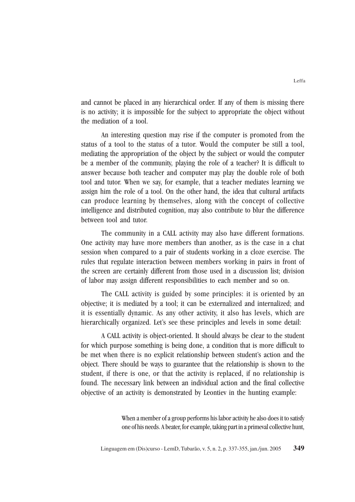and cannot be placed in any hierarchical order. If any of them is missing there is no activity; it is impossible for the subject to appropriate the object without the mediation of a tool.

An interesting question may rise if the computer is promoted from the status of a tool to the status of a tutor. Would the computer be still a tool, mediating the appropriation of the object by the subject or would the computer be a member of the community, playing the role of a teacher? It is difficult to answer because both teacher and computer may play the double role of both tool and tutor. When we say, for example, that a teacher mediates learning we assign him the role of a tool. On the other hand, the idea that cultural artifacts can produce learning by themselves, along with the concept of collective intelligence and distributed cognition, may also contribute to blur the difference between tool and tutor.

The community in a CALL activity may also have different formations. One activity may have more members than another, as is the case in a chat session when compared to a pair of students working in a cloze exercise. The rules that regulate interaction between members working in pairs in front of the screen are certainly different from those used in a discussion list; division of labor may assign different responsibilities to each member and so on.

The CALL activity is guided by some principles: it is oriented by an objective; it is mediated by a tool; it can be externalized and internalized; and it is essentially dynamic. As any other activity, it also has levels, which are hierarchically organized. Let's see these principles and levels in some detail:

A CALL activity is object-oriented. It should always be clear to the student for which purpose something is being done, a condition that is more difficult to be met when there is no explicit relationship between student's action and the object. There should be ways to guarantee that the relationship is shown to the student, if there is one, or that the activity is replaced, if no relationship is found. The necessary link between an individual action and the final collective objective of an activity is demonstrated by Leontiev in the hunting example:

> When a member of a group performs his labor activity he also does it to satisfy one of his needs. A beater, for example, taking part in a primeval collective hunt,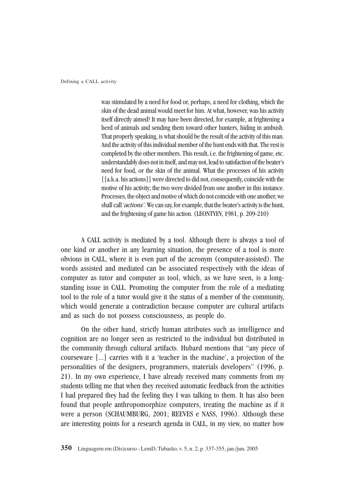was stimulated by a need for food or, perhaps, a need for clothing, which the skin of the dead animal would meet for him. At what, however, was his activity itself directly aimed? It may have been directed, for example, at frightening a herd of animals and sending them toward other hunters, hiding in ambush. That properly speaking, is what should be the result of the activity of this man. And the activity of this individual member of the hunt ends with that. The rest is completed by the other members. This result, i.e. the frightening of game, etc. understandably does not in itself, and may not, lead to satisfaction of the beater's need for food, or the skin of the animal. What the processes of his activity [[a.k.a. his actions]] were directed to did not, consequently, coincide with the motive of his activity; the two were divided from one another in this instance. Processes, the object and motive of which do not coincide with one another, we shall call *'actions'*. We can say, for example, that the beater's activity is the hunt, and the frightening of game his action. (LEONTYEV, 1981, p. 209-210)

A CALL activity is mediated by a tool. Although there is always a tool of one kind or another in any learning situation, the presence of a tool is more obvious in CALL, where it is even part of the acronym (computer-assisted). The words assisted and mediated can be associated respectively with the ideas of computer as tutor and computer as tool, which, as we have seen, is a longstanding issue in CALL. Promoting the computer from the role of a mediating tool to the role of a tutor would give it the status of a member of the community, which would generate a contradiction because computer are cultural artifacts and as such do not possess consciousness, as people do.

On the other hand, strictly human attributes such as intelligence and cognition are no longer seen as restricted to the individual but distributed in the community through cultural artifacts. Hubard mentions that "any piece of courseware [...] carries with it a 'teacher in the machine', a projection of the personalities of the designers, programmers, materials developers" (1996, p. 21). In my own experience, I have already received many comments from my students telling me that when they received automatic feedback from the activities I had prepared they had the feeling they I was talking to them. It has also been found that people anthropomorphize computers, treating the machine as if it were a person (SCHAUMBURG, 2001; REEVES e NASS, 1996). Although these are interesting points for a research agenda in CALL, in my view, no matter how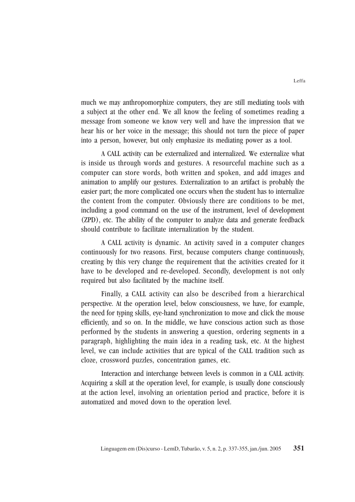much we may anthropomorphize computers, they are still mediating tools with a subject at the other end. We all know the feeling of sometimes reading a message from someone we know very well and have the impression that we hear his or her voice in the message; this should not turn the piece of paper into a person, however, but only emphasize its mediating power as a tool.

A CALL activity can be externalized and internalized. We externalize what is inside us through words and gestures. A resourceful machine such as a computer can store words, both written and spoken, and add images and animation to amplify our gestures. Externalization to an artifact is probably the easier part; the more complicated one occurs when the student has to internalize the content from the computer. Obviously there are conditions to be met, including a good command on the use of the instrument, level of development (ZPD), etc. The ability of the computer to analyze data and generate feedback should contribute to facilitate internalization by the student.

A CALL activity is dynamic. An activity saved in a computer changes continuously for two reasons. First, because computers change continuously, creating by this very change the requirement that the activities created for it have to be developed and re-developed. Secondly, development is not only required but also facilitated by the machine itself.

Finally, a CALL activity can also be described from a hierarchical perspective. At the operation level, below consciousness, we have, for example, the need for typing skills, eye-hand synchronization to move and click the mouse efficiently, and so on. In the middle, we have conscious action such as those performed by the students in answering a question, ordering segments in a paragraph, highlighting the main idea in a reading task, etc. At the highest level, we can include activities that are typical of the CALL tradition such as cloze, crossword puzzles, concentration games, etc.

Interaction and interchange between levels is common in a CALL activity. Acquiring a skill at the operation level, for example, is usually done consciously at the action level, involving an orientation period and practice, before it is automatized and moved down to the operation level.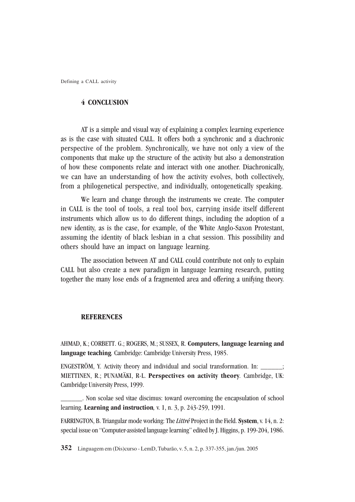#### **4 CONCLUSION**

AT is a simple and visual way of explaining a complex learning experience as is the case with situated CALL. It offers both a synchronic and a diachronic perspective of the problem. Synchronically, we have not only a view of the components that make up the structure of the activity but also a demonstration of how these components relate and interact with one another. Diachronically, we can have an understanding of how the activity evolves, both collectively, from a philogenetical perspective, and individually, ontogenetically speaking.

We learn and change through the instruments we create. The computer in CALL is the tool of tools, a real tool box, carrying inside itself different instruments which allow us to do different things, including the adoption of a new identity, as is the case, for example, of the White Anglo-Saxon Protestant, assuming the identity of black lesbian in a chat session. This possibility and others should have an impact on language learning.

The association between AT and CALL could contribute not only to explain CALL but also create a new paradigm in language learning research, putting together the many lose ends of a fragmented area and offering a unifying theory.

#### **REFERENCES**

AHMAD, K.; CORBETT. G.; ROGERS, M.; SUSSEX, R. **Computers, language learning and language teaching***.* Cambridge: Cambridge University Press, 1985.

ENGESTRÖM, Y. Activity theory and individual and social transformation. In: \_\_\_\_\_\_; MIETTINEN, R.; PUNAMÄKI, R-L. **Perspectives on activity theory***.* Cambridge, UK: Cambridge University Press, 1999.

\_\_\_\_\_\_. Non scolae sed vitae discimus: toward overcoming the encapsulation of school learning. **Learning and instruction***,* v. 1, n. 3, p. 243-259, 1991.

FARRINGTON, B. Triangular mode working: The *Littré* Project in the Field. **System**, v. 14, n. 2: special issue on "Computer-assisted language learning" edited by J. Higgins, p. 199-204, 1986.

**352** Linguagem em (Dis)curso - LemD, Tubarão, v. 5, n. 2, p. 337-355, jan./jun. 2005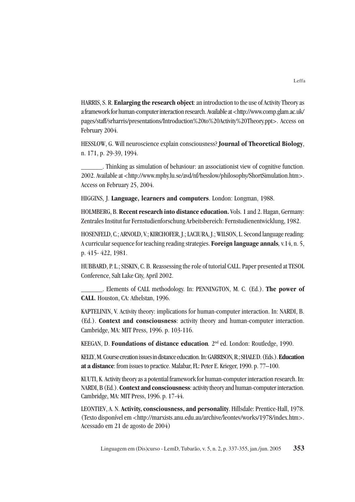HARRIS, S. R. **Enlarging the research object**: an introduction to the use of Activity Theory as a framework for human-computer interaction research. Available at <http://www.comp.glam.ac.uk/ pages/staff/srharris/presentations/Introduction%20to%20Activity%20Theory.ppt>. Access on February 2004.

HESSLOW, G. Will neuroscience explain consciousness? **Journal of Theoretical Biology**, n. 171, p. 29-39, 1994.

\_\_\_\_\_\_. Thinking as simulation of behaviour: an associationist view of cognitive function. 2002. Available at <http://www.mphy.lu.se/avd/nf/hesslow/philosophy/ShortSimulation.htm>. Access on February 25, 2004.

HIGGINS, J. **Language, learners and computers**. London: Longman, 1988.

HOLMBERG, B. **Recent research into distance education.** Vols. 1 and 2. Hagan, Germany: Zentrales Institut fur Fernstudienforschung Arbeitsbereich: Fernstudienentwicklung, 1982.

HOSENFELD, C.; ARNOLD, V.; KIRCHOFER, J.; LACIURA, J.; WILSON, L. Second language reading: A curricular sequence for teaching reading strategies. **Foreign language annals***,* v.14, n. 5, p. 415- 422, 1981.

HUBBARD, P. L.; SISKIN, C. B. Reassessing the role of tutorial CALL. Paper presented at TESOL Conference, Salt Lake City, April 2002.

\_\_\_\_\_\_. Elements of CALL methodology. In: PENNINGTON, M. C. (Ed.). **The power of CALL**. Houston, CA: Athelstan, 1996.

KAPTELININ, V. Activity theory: implications for human-computer interaction. In: NARDI, B. (Ed.). **Context and consciousness**: activity theory and human-computer interaction. Cambridge, MA: MIT Press, 1996. p. 103-116.

KEEGAN, D. **Foundations of distance education***.* 2nd ed. London: Routledge, 1990.

KELLY, M. Course creation issues in distance education. In: GARRISON, R.; SHALE D. (Eds.). **Education at a distance**: from issues to practice. Malabar, FL: Peter E. Krieger, 1990. p. 77–100.

KUUTI, K. Activity theory as a potential framework for human-computer interaction research. In: NARDI, B (Ed.). **Context and consciousness**: activity theory and human-computer interaction. Cambridge, MA: MIT Press, 1996. p. 17-44.

LEONTIEV, A. N. **Activity, consciousness, and personality**. Hillsdale: Prentice-Hall, 1978. (Texto disponível em <http://marxists.anu.edu.au/archive/leontev/works/1978/index.htm>. Acessado em 21 de agosto de 2004)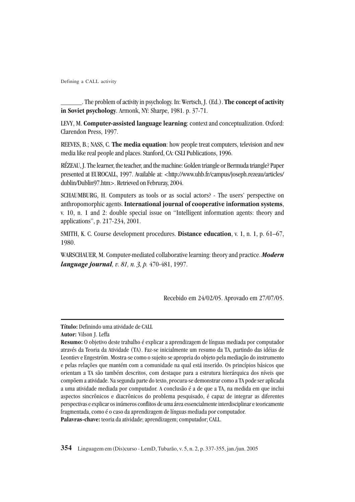\_\_\_\_\_\_. The problem of activity in psychology. In: Wertsch, J. (Ed.). **The concept of activity in Soviet psychology**. Armonk, NY: Sharpe, 1981. p. 37-71.

LEVY, M. **Computer-assisted language learning**: context and conceptualization. Oxford: Clarendon Press, 1997.

REEVES, B.; NASS, C. **The media equation**: how people treat computers, television and new media like real people and places. Stanford, CA: CSLI Publications, 1996.

RÉZEAU, J. The learner, the teacher, and the machine: Golden triangle or Bermuda triangle? Paper presented at EUROCALL, 1997. Available at: <http://www.uhb.fr/campus/joseph.rezeau/articles/ dublin/Dublin97.htm>. Retrieved on Februray, 2004.

SCHAUMBURG, H. Computers as tools or as social actors? - The users' perspective on anthropomorphic agents. **International journal of cooperative information systems**, v. 10, n. 1 and 2: double special issue on "Intelligent information agents: theory and applications", p. 217-234, 2001.

SMITH, K. C. Course development procedures. **Distance education**, v. 1, n. 1, p. 61–67, 1980.

WARSCHAUER, M. Computer-mediated collaborative learning: theory and practice. *Modern language journal, v. 81, n. 3, p.* 470-481, 1997.

Recebido em 24/02/05. Aprovado em 27/07/05.

**Título:** Definindo uma atividade de CALL

**Autor:** Vilson J. Leffa

**Resumo:** O objetivo deste trabalho é explicar a aprendizagem de línguas mediada por computador através da Teoria da Atividade (TA). Faz-se inicialmente um resumo da TA, partindo das idéias de Leontiev e Engeström. Mostra-se como o sujeito se apropria do objeto pela mediação do instrumento e pelas relações que mantém com a comunidade na qual está inserido. Os princípios básicos que orientam a TA são também descritos, com destaque para a estrutura hierárquica dos níveis que compõem a atividade. Na segunda parte do texto, procura-se demonstrar como a TA pode ser aplicada a uma atividade mediada por computador. A conclusão é a de que a TA, na medida em que inclui aspectos sincrônicos e diacrônicos do problema pesquisado, é capaz de integrar as diferentes perspectivas e explicar os inúmeros conflitos de uma área essencialmente interdisciplinar e teoricamente fragmentada, como é o caso da aprendizagem de línguas mediada por computador. **Palavras-chave:** teoria da atividade; aprendizagem; computador; CALL.